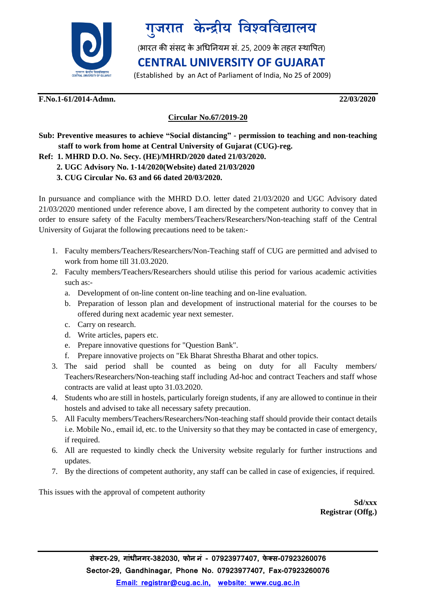



(भारत की संसद के अधिनियम सं. 25, 2009 के तहत स्थापित)

### **CENTRAL UNIVERSITY OF GUJARAT**

(Established by an Act of Parliament of India, No 25 of 2009)

#### **F.No.1-61/2014-Admn. 22/03/2020**

#### **Circular No.67/2019-20**

**Sub: Preventive measures to achieve "Social distancing" - permission to teaching and non-teaching staff to work from home at Central University of Gujarat (CUG)-reg.**

#### **Ref: 1. MHRD D.O. No. Secy. (HE)/MHRD/2020 dated 21/03/2020.**

- **2. UGC Advisory No. 1-14/2020(Website) dated 21/03/2020**
- **3. CUG Circular No. 63 and 66 dated 20/03/2020.**

In pursuance and compliance with the MHRD D.O. letter dated 21/03/2020 and UGC Advisory dated 21/03/2020 mentioned under reference above, I am directed by the competent authority to convey that in order to ensure safety of the Faculty members/Teachers/Researchers/Non-teaching staff of the Central University of Gujarat the following precautions need to be taken:-

- 1. Faculty members/Teachers/Researchers/Non-Teaching staff of CUG are permitted and advised to work from home till 31.03.2020.
- 2. Faculty members/Teachers/Researchers should utilise this period for various academic activities such as:
	- a. Development of on-line content on-line teaching and on-line evaluation.
	- b. Preparation of lesson plan and development of instructional material for the courses to be offered during next academic year next semester.
	- c. Carry on research.
	- d. Write articles, papers etc.
	- e. Prepare innovative questions for "Question Bank".
	- f. Prepare innovative projects on "Ek Bharat Shrestha Bharat and other topics.
- 3. The said period shall be counted as being on duty for all Faculty members/ Teachers/Researchers/Non-teaching staff including Ad-hoc and contract Teachers and staff whose contracts are valid at least upto 31.03.2020.
- 4. Students who are still in hostels, particularly foreign students, if any are allowed to continue in their hostels and advised to take all necessary safety precaution.
- 5. All Faculty members/Teachers/Researchers/Non-teaching staff should provide their contact details i.e. Mobile No., email id, etc. to the University so that they may be contacted in case of emergency, if required.
- 6. All are requested to kindly check the University website regularly for further instructions and updates.
- 7. By the directions of competent authority, any staff can be called in case of exigencies, if required.

This issues with the approval of competent authority

**Sd/xxx Registrar (Offg.)**